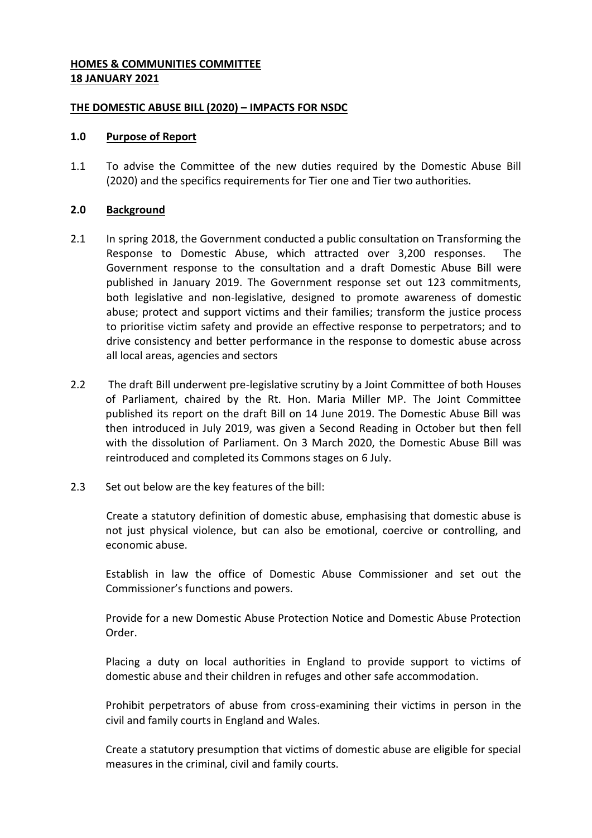## **HOMES & COMMUNITIES COMMITTEE 18 JANUARY 2021**

## **THE DOMESTIC ABUSE BILL (2020) – IMPACTS FOR NSDC**

#### **1.0 Purpose of Report**

1.1 To advise the Committee of the new duties required by the Domestic Abuse Bill (2020) and the specifics requirements for Tier one and Tier two authorities.

## **2.0 Background**

- 2.1 In spring 2018, the Government conducted a public consultation on Transforming the Response to Domestic Abuse, which attracted over 3,200 responses. The Government response to the consultation and a draft Domestic Abuse Bill were published in January 2019. The Government response set out 123 commitments, both legislative and non-legislative, designed to promote awareness of domestic abuse; protect and support victims and their families; transform the justice process to prioritise victim safety and provide an effective response to perpetrators; and to drive consistency and better performance in the response to domestic abuse across all local areas, agencies and sectors
- 2.2 The draft Bill underwent pre-legislative scrutiny by a Joint Committee of both Houses of Parliament, chaired by the Rt. Hon. Maria Miller MP. The Joint Committee published its report on the draft Bill on 14 June 2019. The Domestic Abuse Bill was then introduced in July 2019, was given a Second Reading in October but then fell with the dissolution of Parliament. On 3 March 2020, the Domestic Abuse Bill was reintroduced and completed its Commons stages on 6 July.
- 2.3 Set out below are the key features of the bill:

Create a statutory definition of domestic abuse, emphasising that domestic abuse is not just physical violence, but can also be emotional, coercive or controlling, and economic abuse.

Establish in law the office of Domestic Abuse Commissioner and set out the Commissioner's functions and powers.

Provide for a new Domestic Abuse Protection Notice and Domestic Abuse Protection Order.

Placing a duty on local authorities in England to provide support to victims of domestic abuse and their children in refuges and other safe accommodation.

Prohibit perpetrators of abuse from cross-examining their victims in person in the civil and family courts in England and Wales.

Create a statutory presumption that victims of domestic abuse are eligible for special measures in the criminal, civil and family courts.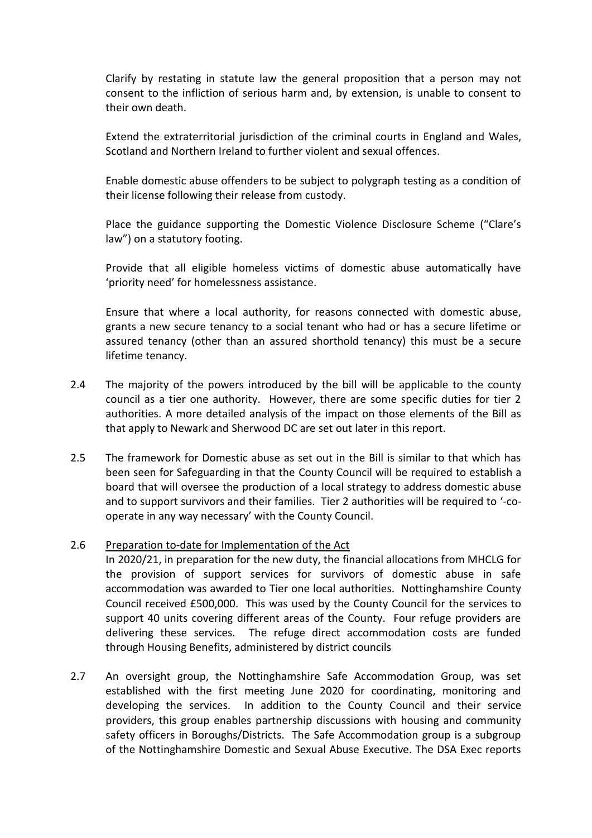Clarify by restating in statute law the general proposition that a person may not consent to the infliction of serious harm and, by extension, is unable to consent to their own death.

Extend the extraterritorial jurisdiction of the criminal courts in England and Wales, Scotland and Northern Ireland to further violent and sexual offences.

Enable domestic abuse offenders to be subject to polygraph testing as a condition of their license following their release from custody.

Place the guidance supporting the Domestic Violence Disclosure Scheme ("Clare's law") on a statutory footing.

Provide that all eligible homeless victims of domestic abuse automatically have 'priority need' for homelessness assistance.

Ensure that where a local authority, for reasons connected with domestic abuse, grants a new secure tenancy to a social tenant who had or has a secure lifetime or assured tenancy (other than an assured shorthold tenancy) this must be a secure lifetime tenancy.

- 2.4 The majority of the powers introduced by the bill will be applicable to the county council as a tier one authority. However, there are some specific duties for tier 2 authorities. A more detailed analysis of the impact on those elements of the Bill as that apply to Newark and Sherwood DC are set out later in this report.
- 2.5 The framework for Domestic abuse as set out in the Bill is similar to that which has been seen for Safeguarding in that the County Council will be required to establish a board that will oversee the production of a local strategy to address domestic abuse and to support survivors and their families. Tier 2 authorities will be required to '-cooperate in any way necessary' with the County Council.

## 2.6 Preparation to-date for Implementation of the Act

In 2020/21, in preparation for the new duty, the financial allocations from MHCLG for the provision of support services for survivors of domestic abuse in safe accommodation was awarded to Tier one local authorities. Nottinghamshire County Council received £500,000. This was used by the County Council for the services to support 40 units covering different areas of the County. Four refuge providers are delivering these services. The refuge direct accommodation costs are funded through Housing Benefits, administered by district councils

2.7 An oversight group, the Nottinghamshire Safe Accommodation Group, was set established with the first meeting June 2020 for coordinating, monitoring and developing the services. In addition to the County Council and their service providers, this group enables partnership discussions with housing and community safety officers in Boroughs/Districts. The Safe Accommodation group is a subgroup of the Nottinghamshire Domestic and Sexual Abuse Executive. The DSA Exec reports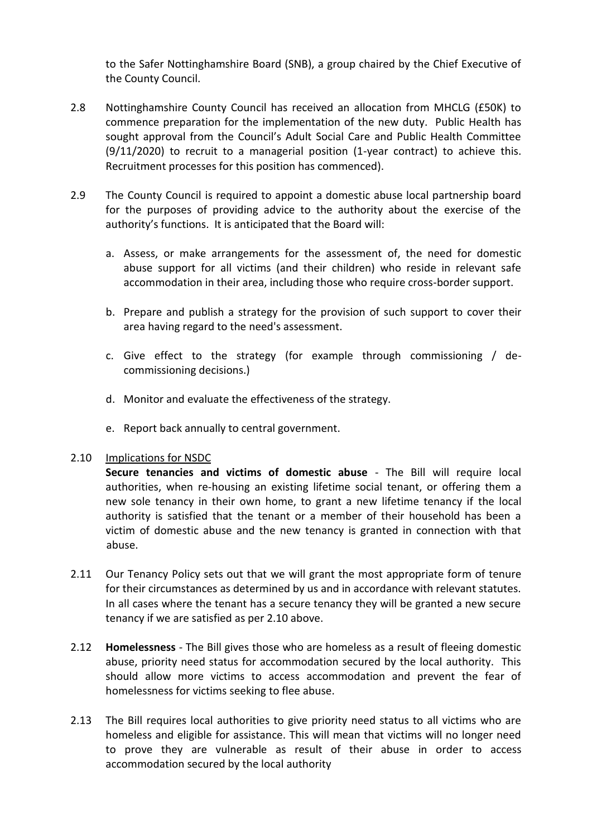to the Safer Nottinghamshire Board (SNB), a group chaired by the Chief Executive of the County Council.

- 2.8 Nottinghamshire County Council has received an allocation from MHCLG (£50K) to commence preparation for the implementation of the new duty. Public Health has sought approval from the Council's Adult Social Care and Public Health Committee (9/11/2020) to recruit to a managerial position (1-year contract) to achieve this. Recruitment processes for this position has commenced).
- 2.9 The County Council is required to appoint a domestic abuse local partnership board for the purposes of providing advice to the authority about the exercise of the authority's functions. It is anticipated that the Board will:
	- a. Assess, or make arrangements for the assessment of, the need for domestic abuse support for all victims (and their children) who reside in relevant safe accommodation in their area, including those who require cross-border support.
	- b. Prepare and publish a strategy for the provision of such support to cover their area having regard to the need's assessment.
	- c. Give effect to the strategy (for example through commissioning / decommissioning decisions.)
	- d. Monitor and evaluate the effectiveness of the strategy.
	- e. Report back annually to central government.

## 2.10 Implications for NSDC

**Secure tenancies and victims of domestic abuse** - The Bill will require local authorities, when re-housing an existing lifetime social tenant, or offering them a new sole tenancy in their own home, to grant a new lifetime tenancy if the local authority is satisfied that the tenant or a member of their household has been a victim of domestic abuse and the new tenancy is granted in connection with that abuse.

- 2.11 Our Tenancy Policy sets out that we will grant the most appropriate form of tenure for their circumstances as determined by us and in accordance with relevant statutes. In all cases where the tenant has a secure tenancy they will be granted a new secure tenancy if we are satisfied as per 2.10 above.
- 2.12 **Homelessness** The Bill gives those who are homeless as a result of fleeing domestic abuse, priority need status for accommodation secured by the local authority. This should allow more victims to access accommodation and prevent the fear of homelessness for victims seeking to flee abuse.
- 2.13 The Bill requires local authorities to give priority need status to all victims who are homeless and eligible for assistance. This will mean that victims will no longer need to prove they are vulnerable as result of their abuse in order to access accommodation secured by the local authority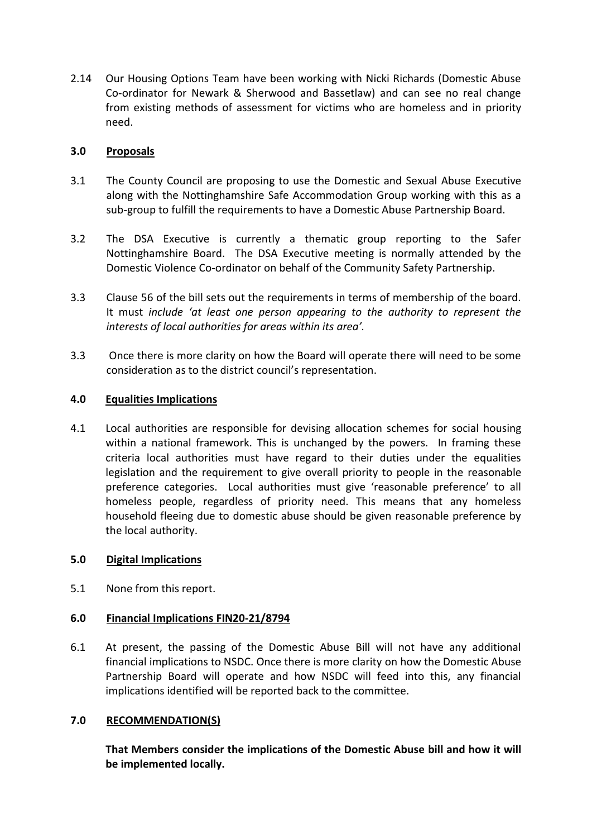2.14 Our Housing Options Team have been working with Nicki Richards (Domestic Abuse Co-ordinator for Newark & Sherwood and Bassetlaw) and can see no real change from existing methods of assessment for victims who are homeless and in priority need.

## **3.0 Proposals**

- 3.1 The County Council are proposing to use the Domestic and Sexual Abuse Executive along with the Nottinghamshire Safe Accommodation Group working with this as a sub-group to fulfill the requirements to have a Domestic Abuse Partnership Board.
- 3.2 The DSA Executive is currently a thematic group reporting to the Safer Nottinghamshire Board. The DSA Executive meeting is normally attended by the Domestic Violence Co-ordinator on behalf of the Community Safety Partnership.
- 3.3 Clause 56 of the bill sets out the requirements in terms of membership of the board. It must *include 'at least one person appearing to the authority to represent the interests of local authorities for areas within its area'.*
- 3.3 Once there is more clarity on how the Board will operate there will need to be some consideration as to the district council's representation.

## **4.0 Equalities Implications**

4.1 Local authorities are responsible for devising allocation schemes for social housing within a national framework. This is unchanged by the powers. In framing these criteria local authorities must have regard to their duties under the equalities legislation and the requirement to give overall priority to people in the reasonable preference categories. Local authorities must give 'reasonable preference' to all homeless people, regardless of priority need. This means that any homeless household fleeing due to domestic abuse should be given reasonable preference by the local authority.

## **5.0 Digital Implications**

5.1 None from this report.

## **6.0 Financial Implications FIN20-21/8794**

6.1 At present, the passing of the Domestic Abuse Bill will not have any additional financial implications to NSDC. Once there is more clarity on how the Domestic Abuse Partnership Board will operate and how NSDC will feed into this, any financial implications identified will be reported back to the committee.

## **7.0 RECOMMENDATION(S)**

**That Members consider the implications of the Domestic Abuse bill and how it will be implemented locally.**